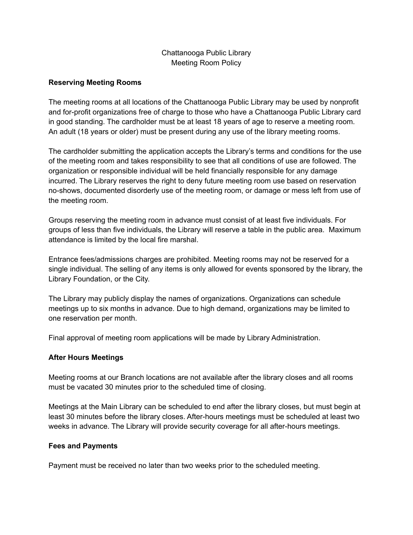# Chattanooga Public Library Meeting Room Policy

## **Reserving Meeting Rooms**

The meeting rooms at all locations of the Chattanooga Public Library may be used by nonprofit and for-profit organizations free of charge to those who have a Chattanooga Public Library card in good standing. The cardholder must be at least 18 years of age to reserve a meeting room. An adult (18 years or older) must be present during any use of the library meeting rooms.

The cardholder submitting the application accepts the Library's terms and conditions for the use of the meeting room and takes responsibility to see that all conditions of use are followed. The organization or responsible individual will be held financially responsible for any damage incurred. The Library reserves the right to deny future meeting room use based on reservation no-shows, documented disorderly use of the meeting room, or damage or mess left from use of the meeting room.

Groups reserving the meeting room in advance must consist of at least five individuals. For groups of less than five individuals, the Library will reserve a table in the public area. Maximum attendance is limited by the local fire marshal.

Entrance fees/admissions charges are prohibited. Meeting rooms may not be reserved for a single individual. The selling of any items is only allowed for events sponsored by the library, the Library Foundation, or the City.

The Library may publicly display the names of organizations. Organizations can schedule meetings up to six months in advance. Due to high demand, organizations may be limited to one reservation per month.

Final approval of meeting room applications will be made by Library Administration.

## **After Hours Meetings**

Meeting rooms at our Branch locations are not available after the library closes and all rooms must be vacated 30 minutes prior to the scheduled time of closing.

Meetings at the Main Library can be scheduled to end after the library closes, but must begin at least 30 minutes before the library closes. After-hours meetings must be scheduled at least two weeks in advance. The Library will provide security coverage for all after-hours meetings.

## **Fees and Payments**

Payment must be received no later than two weeks prior to the scheduled meeting.